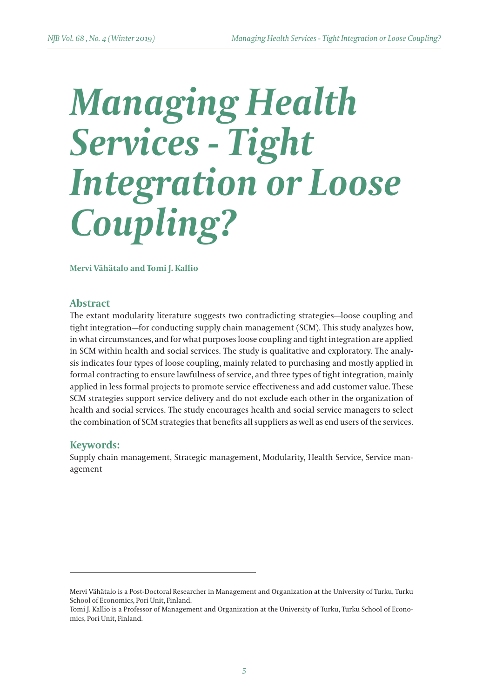# *Managing Health Services - Tight Integration or Loose Coupling?*

**Mervi Vähätalo and Tomi J. Kallio**

### **Abstract**

The extant modularity literature suggests two contradicting strategies—loose coupling and tight integration—for conducting supply chain management (SCM). This study analyzes how, in what circumstances, and for what purposes loose coupling and tight integration are applied in SCM within health and social services. The study is qualitative and exploratory. The analysis indicates four types of loose coupling, mainly related to purchasing and mostly applied in formal contracting to ensure lawfulness of service, and three types of tight integration, mainly applied in less formal projects to promote service effectiveness and add customer value. These SCM strategies support service delivery and do not exclude each other in the organization of health and social services. The study encourages health and social service managers to select the combination of SCM strategies that benefits all suppliers as well as end users of the services.

### **Keywords:**

Supply chain management, Strategic management, Modularity, Health Service, Service management

Mervi Vähätalo is a Post-Doctoral Researcher in Management and Organization at the University of Turku, Turku School of Economics, Pori Unit, Finland.

Tomi J. Kallio is a Professor of Management and Organization at the University of Turku, Turku School of Economics, Pori Unit, Finland.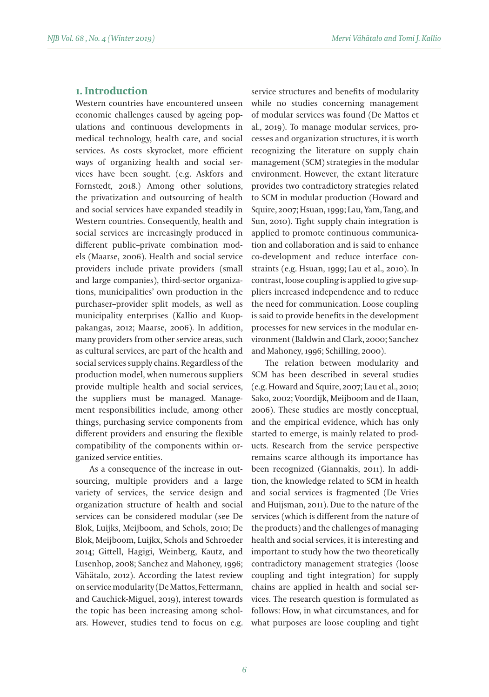## **1. Introduction**

Western countries have encountered unseen economic challenges caused by ageing populations and continuous developments in medical technology, health care, and social services. As costs skyrocket, more efficient ways of organizing health and social services have been sought. (e.g. Askfors and Fornstedt, 2018.) Among other solutions, the privatization and outsourcing of health and social services have expanded steadily in Western countries. Consequently, health and social services are increasingly produced in different public–private combination models (Maarse, 2006). Health and social service providers include private providers (small and large companies), third-sector organizations, municipalities' own production in the purchaser–provider split models, as well as municipality enterprises (Kallio and Kuoppakangas, 2012; Maarse, 2006). In addition, many providers from other service areas, such as cultural services, are part of the health and social services supply chains. Regardless of the production model, when numerous suppliers provide multiple health and social services, the suppliers must be managed. Management responsibilities include, among other things, purchasing service components from different providers and ensuring the flexible compatibility of the components within organized service entities.

As a consequence of the increase in outsourcing, multiple providers and a large variety of services, the service design and organization structure of health and social services can be considered modular (see De Blok, Luijks, Meijboom, and Schols, 2010; De Blok, Meijboom, Luijkx, Schols and Schroeder 2014; Gittell, Hagigi, Weinberg, Kautz, and Lusenhop, 2008; Sanchez and Mahoney, 1996; Vähätalo, 2012). According the latest review on service modularity (De Mattos, Fettermann, and Cauchick-Miguel, 2019), interest towards the topic has been increasing among scholars. However, studies tend to focus on e.g.

service structures and benefits of modularity while no studies concerning management of modular services was found (De Mattos et al., 2019). To manage modular services, processes and organization structures, it is worth recognizing the literature on supply chain management (SCM) strategies in the modular environment. However, the extant literature provides two contradictory strategies related to SCM in modular production (Howard and Squire, 2007; Hsuan, 1999; Lau, Yam, Tang, and Sun, 2010). Tight supply chain integration is applied to promote continuous communication and collaboration and is said to enhance co-development and reduce interface constraints (e.g. Hsuan, 1999; Lau et al., 2010). In contrast, loose coupling is applied to give suppliers increased independence and to reduce the need for communication. Loose coupling is said to provide benefits in the development processes for new services in the modular environment (Baldwin and Clark, 2000; Sanchez and Mahoney, 1996; Schilling, 2000).

The relation between modularity and SCM has been described in several studies (e.g. Howard and Squire, 2007; Lau et al., 2010; Sako, 2002; Voordijk, Meijboom and de Haan, 2006). These studies are mostly conceptual, and the empirical evidence, which has only started to emerge, is mainly related to products. Research from the service perspective remains scarce although its importance has been recognized (Giannakis, 2011). In addition, the knowledge related to SCM in health and social services is fragmented (De Vries and Huijsman, 2011). Due to the nature of the services (which is different from the nature of the products) and the challenges of managing health and social services, it is interesting and important to study how the two theoretically contradictory management strategies (loose coupling and tight integration) for supply chains are applied in health and social services. The research question is formulated as follows: How, in what circumstances, and for what purposes are loose coupling and tight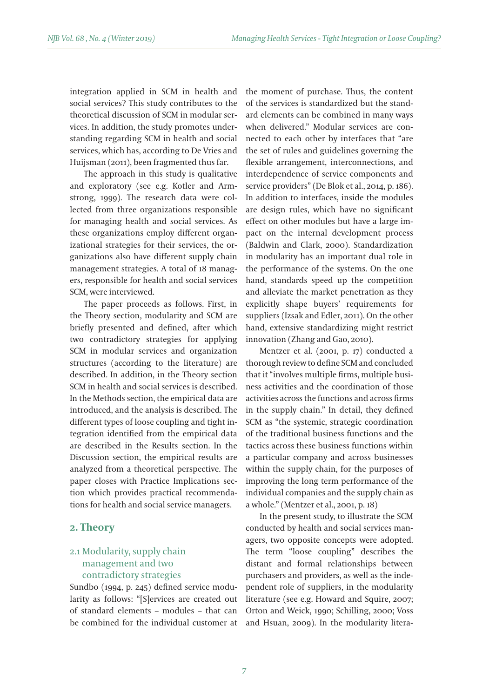integration applied in SCM in health and social services? This study contributes to the theoretical discussion of SCM in modular services. In addition, the study promotes understanding regarding SCM in health and social services, which has, according to De Vries and Huijsman (2011), been fragmented thus far.

The approach in this study is qualitative and exploratory (see e.g. Kotler and Armstrong, 1999). The research data were collected from three organizations responsible for managing health and social services. As these organizations employ different organizational strategies for their services, the organizations also have different supply chain management strategies. A total of 18 managers, responsible for health and social services SCM, were interviewed.

The paper proceeds as follows. First, in the Theory section, modularity and SCM are briefly presented and defined, after which two contradictory strategies for applying SCM in modular services and organization structures (according to the literature) are described. In addition, in the Theory section SCM in health and social services is described. In the Methods section, the empirical data are introduced, and the analysis is described. The different types of loose coupling and tight integration identified from the empirical data are described in the Results section. In the Discussion section, the empirical results are analyzed from a theoretical perspective. The paper closes with Practice Implications section which provides practical recommendations for health and social service managers.

## **2. Theory**

# 2.1 Modularity, supply chain management and two contradictory strategies

Sundbo (1994, p. 245) defined service modularity as follows: "[S]ervices are created out of standard elements – modules – that can be combined for the individual customer at the moment of purchase. Thus, the content of the services is standardized but the standard elements can be combined in many ways when delivered." Modular services are connected to each other by interfaces that "are the set of rules and guidelines governing the flexible arrangement, interconnections, and interdependence of service components and service providers" (De Blok et al., 2014, p. 186). In addition to interfaces, inside the modules are design rules, which have no significant effect on other modules but have a large impact on the internal development process (Baldwin and Clark, 2000). Standardization in modularity has an important dual role in the performance of the systems. On the one hand, standards speed up the competition and alleviate the market penetration as they explicitly shape buyers' requirements for suppliers (Izsak and Edler, 2011). On the other hand, extensive standardizing might restrict innovation (Zhang and Gao, 2010).

Mentzer et al. (2001, p. 17) conducted a thorough review to define SCM and concluded that it "involves multiple firms, multiple business activities and the coordination of those activities across the functions and across firms in the supply chain." In detail, they defined SCM as "the systemic, strategic coordination of the traditional business functions and the tactics across these business functions within a particular company and across businesses within the supply chain, for the purposes of improving the long term performance of the individual companies and the supply chain as a whole." (Mentzer et al., 2001, p. 18)

In the present study, to illustrate the SCM conducted by health and social services managers, two opposite concepts were adopted. The term "loose coupling" describes the distant and formal relationships between purchasers and providers, as well as the independent role of suppliers, in the modularity literature (see e.g. Howard and Squire, 2007; Orton and Weick, 1990; Schilling, 2000; Voss and Hsuan, 2009). In the modularity litera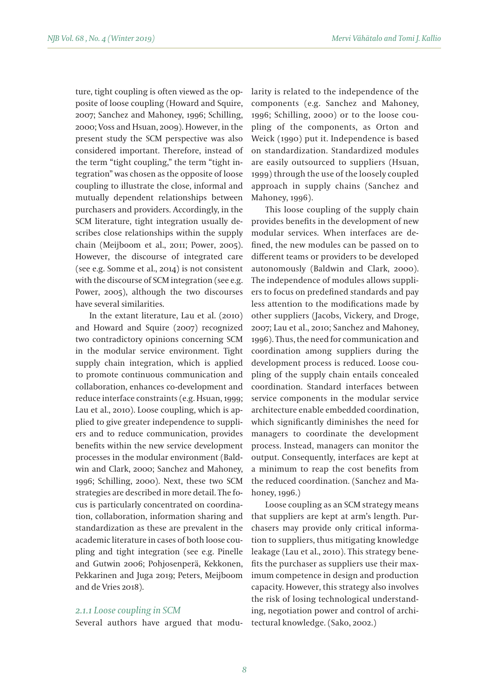ture, tight coupling is often viewed as the opposite of loose coupling (Howard and Squire, 2007; Sanchez and Mahoney, 1996; Schilling, 2000; Voss and Hsuan, 2009). However, in the present study the SCM perspective was also considered important. Therefore, instead of the term "tight coupling," the term "tight integration" was chosen as the opposite of loose coupling to illustrate the close, informal and mutually dependent relationships between purchasers and providers. Accordingly, in the SCM literature, tight integration usually describes close relationships within the supply chain (Meijboom et al., 2011; Power, 2005). However, the discourse of integrated care (see e.g. Somme et al., 2014) is not consistent with the discourse of SCM integration (see e.g. Power, 2005), although the two discourses have several similarities.

In the extant literature, Lau et al. (2010) and Howard and Squire (2007) recognized two contradictory opinions concerning SCM in the modular service environment. Tight supply chain integration, which is applied to promote continuous communication and collaboration, enhances co-development and reduce interface constraints (e.g. Hsuan, 1999; Lau et al., 2010). Loose coupling, which is applied to give greater independence to suppliers and to reduce communication, provides benefits within the new service development processes in the modular environment (Baldwin and Clark, 2000; Sanchez and Mahoney, 1996; Schilling, 2000). Next, these two SCM strategies are described in more detail. The focus is particularly concentrated on coordination, collaboration, information sharing and standardization as these are prevalent in the academic literature in cases of both loose coupling and tight integration (see e.g. Pinelle and Gutwin 2006; Pohjosenperä, Kekkonen, Pekkarinen and Juga 2019; Peters, Meijboom and de Vries 2018).

### *2.1.1 Loose coupling in SCM*

Several authors have argued that modu-

larity is related to the independence of the components (e.g. Sanchez and Mahoney, 1996; Schilling, 2000) or to the loose coupling of the components, as Orton and Weick (1990) put it. Independence is based on standardization. Standardized modules are easily outsourced to suppliers (Hsuan, 1999) through the use of the loosely coupled approach in supply chains (Sanchez and Mahoney, 1996).

This loose coupling of the supply chain provides benefits in the development of new modular services. When interfaces are defined, the new modules can be passed on to different teams or providers to be developed autonomously (Baldwin and Clark, 2000). The independence of modules allows suppliers to focus on predefined standards and pay less attention to the modifications made by other suppliers (Jacobs, Vickery, and Droge, 2007; Lau et al., 2010; Sanchez and Mahoney, 1996). Thus, the need for communication and coordination among suppliers during the development process is reduced. Loose coupling of the supply chain entails concealed coordination. Standard interfaces between service components in the modular service architecture enable embedded coordination, which significantly diminishes the need for managers to coordinate the development process. Instead, managers can monitor the output. Consequently, interfaces are kept at a minimum to reap the cost benefits from the reduced coordination. (Sanchez and Mahoney, 1996.)

Loose coupling as an SCM strategy means that suppliers are kept at arm's length. Purchasers may provide only critical information to suppliers, thus mitigating knowledge leakage (Lau et al., 2010). This strategy benefits the purchaser as suppliers use their maximum competence in design and production capacity. However, this strategy also involves the risk of losing technological understanding, negotiation power and control of architectural knowledge. (Sako, 2002.)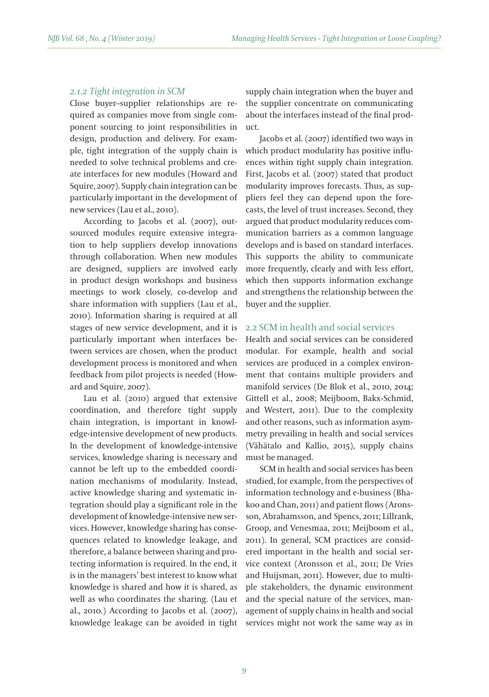### *2.1.2 Tight integration in SCM*

Close buyer–supplier relationships are required as companies move from single component sourcing to joint responsibilities in design, production and delivery. For example, tight integration of the supply chain is needed to solve technical problems and create interfaces for new modules (Howard and Squire, 2007). Supply chain integration can be particularly important in the development of new services (Lau et al., 2010).

According to Jacobs et al. (2007), outsourced modules require extensive integration to help suppliers develop innovations through collaboration. When new modules are designed, suppliers are involved early in product design workshops and business meetings to work closely, co-develop and share information with suppliers (Lau et al., 2010). Information sharing is required at all stages of new service development, and it is particularly important when interfaces between services are chosen, when the product development process is monitored and when feedback from pilot projects is needed (Howard and Squire, 2007).

Lau et al. (2010) argued that extensive coordination, and therefore tight supply chain integration, is important in knowledge-intensive development of new products. In the development of knowledge-intensive services, knowledge sharing is necessary and cannot be left up to the embedded coordination mechanisms of modularity. Instead, active knowledge sharing and systematic integration should play a significant role in the development of knowledge-intensive new services. However, knowledge sharing has consequences related to knowledge leakage, and therefore, a balance between sharing and protecting information is required. In the end, it is in the managers' best interest to know what knowledge is shared and how it is shared, as well as who coordinates the sharing. (Lau et al., 2010.) According to Jacobs et al. (2007), knowledge leakage can be avoided in tight supply chain integration when the buyer and the supplier concentrate on communicating about the interfaces instead of the final product.

Jacobs et al. (2007) identified two ways in which product modularity has positive influences within tight supply chain integration. First, Jacobs et al. (2007) stated that product modularity improves forecasts. Thus, as suppliers feel they can depend upon the forecasts, the level of trust increases. Second, they argued that product modularity reduces communication barriers as a common language develops and is based on standard interfaces. This supports the ability to communicate more frequently, clearly and with less effort, which then supports information exchange and strengthens the relationship between the buyer and the supplier.

# 2.2 SCM in health and social services

Health and social services can be considered modular. For example, health and social services are produced in a complex environment that contains multiple providers and manifold services (De Blok et al., 2010, 2014; Gittell et al., 2008; Meijboom, Bakx-Schmid, and Westert, 2011). Due to the complexity and other reasons, such as information asymmetry prevailing in health and social services (Vähätalo and Kallio, 2015), supply chains must be managed.

SCM in health and social services has been studied, for example, from the perspectives of information technology and e-business (Bhakoo and Chan, 2011) and patient flows (Aronsson, Abrahamsson, and Spencs, 2011; Lillrank, Groop, and Venesmaa, 2011; Meijboom et al., 2011). In general, SCM practices are considered important in the health and social service context (Aronsson et al., 2011; De Vries and Huijsman, 2011). However, due to multiple stakeholders, the dynamic environment and the special nature of the services, management of supply chains in health and social services might not work the same way as in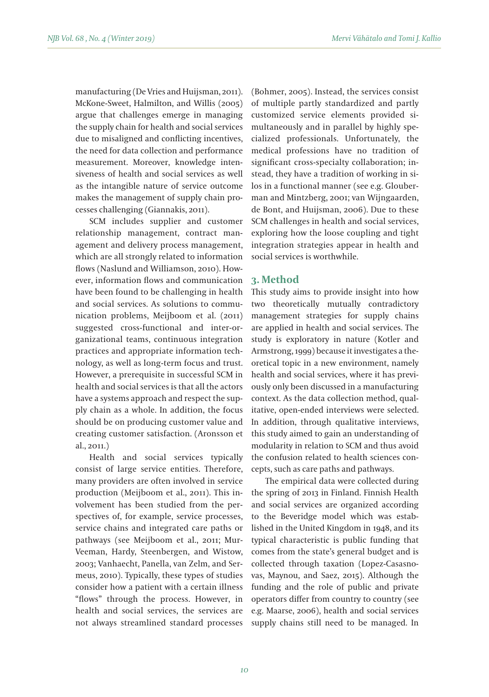manufacturing (De Vries and Huijsman, 2011). McKone-Sweet, Halmilton, and Willis (2005) argue that challenges emerge in managing the supply chain for health and social services due to misaligned and conflicting incentives, the need for data collection and performance measurement. Moreover, knowledge intensiveness of health and social services as well as the intangible nature of service outcome makes the management of supply chain processes challenging (Giannakis, 2011).

SCM includes supplier and customer relationship management, contract management and delivery process management, which are all strongly related to information flows (Naslund and Williamson, 2010). However, information flows and communication have been found to be challenging in health and social services. As solutions to communication problems, Meijboom et al. (2011) suggested cross-functional and inter-organizational teams, continuous integration practices and appropriate information technology, as well as long-term focus and trust. However, a prerequisite in successful SCM in health and social services is that all the actors have a systems approach and respect the supply chain as a whole. In addition, the focus should be on producing customer value and creating customer satisfaction. (Aronsson et al., 2011.)

Health and social services typically consist of large service entities. Therefore, many providers are often involved in service production (Meijboom et al., 2011). This involvement has been studied from the perspectives of, for example, service processes, service chains and integrated care paths or pathways (see Meijboom et al., 2011; Mur-Veeman, Hardy, Steenbergen, and Wistow, 2003; Vanhaecht, Panella, van Zelm, and Sermeus, 2010). Typically, these types of studies consider how a patient with a certain illness "flows" through the process. However, in health and social services, the services are not always streamlined standard processes

(Bohmer, 2005). Instead, the services consist of multiple partly standardized and partly customized service elements provided simultaneously and in parallel by highly specialized professionals. Unfortunately, the medical professions have no tradition of significant cross-specialty collaboration; instead, they have a tradition of working in silos in a functional manner (see e.g. Glouberman and Mintzberg, 2001; van Wijngaarden, de Bont, and Huijsman, 2006). Due to these SCM challenges in health and social services, exploring how the loose coupling and tight integration strategies appear in health and social services is worthwhile.

### **3. Method**

This study aims to provide insight into how two theoretically mutually contradictory management strategies for supply chains are applied in health and social services. The study is exploratory in nature (Kotler and Armstrong, 1999) because it investigates a theoretical topic in a new environment, namely health and social services, where it has previously only been discussed in a manufacturing context. As the data collection method, qualitative, open-ended interviews were selected. In addition, through qualitative interviews, this study aimed to gain an understanding of modularity in relation to SCM and thus avoid the confusion related to health sciences concepts, such as care paths and pathways.

The empirical data were collected during the spring of 2013 in Finland. Finnish Health and social services are organized according to the Beveridge model which was established in the United Kingdom in 1948, and its typical characteristic is public funding that comes from the state's general budget and is collected through taxation (Lopez-Casasnovas, Maynou, and Saez, 2015). Although the funding and the role of public and private operators differ from country to country (see e.g. Maarse, 2006), health and social services supply chains still need to be managed. In

*10*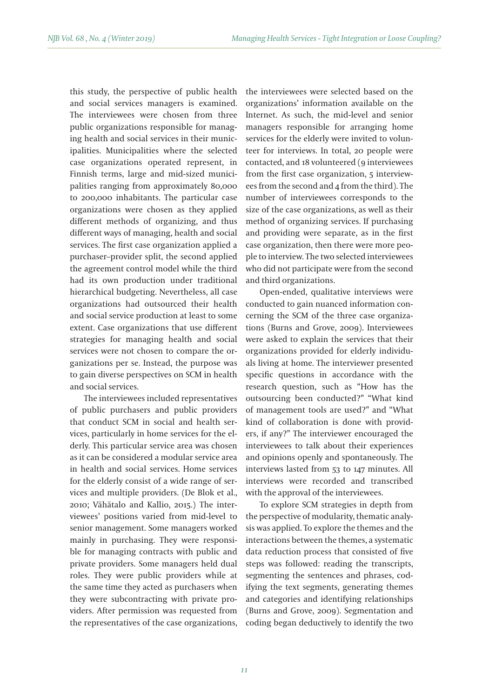this study, the perspective of public health and social services managers is examined. The interviewees were chosen from three public organizations responsible for managing health and social services in their municipalities. Municipalities where the selected case organizations operated represent, in Finnish terms, large and mid-sized municipalities ranging from approximately 80,000 to 200,000 inhabitants. The particular case organizations were chosen as they applied different methods of organizing, and thus different ways of managing, health and social services. The first case organization applied a purchaser–provider split, the second applied the agreement control model while the third had its own production under traditional hierarchical budgeting. Nevertheless, all case organizations had outsourced their health and social service production at least to some extent. Case organizations that use different strategies for managing health and social services were not chosen to compare the organizations per se. Instead, the purpose was to gain diverse perspectives on SCM in health and social services.

The interviewees included representatives of public purchasers and public providers that conduct SCM in social and health services, particularly in home services for the elderly. This particular service area was chosen as it can be considered a modular service area in health and social services. Home services for the elderly consist of a wide range of services and multiple providers. (De Blok et al., 2010; Vähätalo and Kallio, 2015.) The interviewees' positions varied from mid-level to senior management. Some managers worked mainly in purchasing. They were responsible for managing contracts with public and private providers. Some managers held dual roles. They were public providers while at the same time they acted as purchasers when they were subcontracting with private providers. After permission was requested from the representatives of the case organizations,

the interviewees were selected based on the organizations' information available on the Internet. As such, the mid-level and senior managers responsible for arranging home services for the elderly were invited to volunteer for interviews. In total, 20 people were contacted, and 18 volunteered (9 interviewees from the first case organization, 5 interviewees from the second and 4 from the third). The number of interviewees corresponds to the size of the case organizations, as well as their method of organizing services. If purchasing and providing were separate, as in the first case organization, then there were more people to interview. The two selected interviewees who did not participate were from the second and third organizations.

Open-ended, qualitative interviews were conducted to gain nuanced information concerning the SCM of the three case organizations (Burns and Grove, 2009). Interviewees were asked to explain the services that their organizations provided for elderly individuals living at home. The interviewer presented specific questions in accordance with the research question, such as "How has the outsourcing been conducted?" "What kind of management tools are used?" and "What kind of collaboration is done with providers, if any?" The interviewer encouraged the interviewees to talk about their experiences and opinions openly and spontaneously. The interviews lasted from 53 to 147 minutes. All interviews were recorded and transcribed with the approval of the interviewees.

To explore SCM strategies in depth from the perspective of modularity, thematic analysis was applied. To explore the themes and the interactions between the themes, a systematic data reduction process that consisted of five steps was followed: reading the transcripts, segmenting the sentences and phrases, codifying the text segments, generating themes and categories and identifying relationships (Burns and Grove, 2009). Segmentation and coding began deductively to identify the two

*11*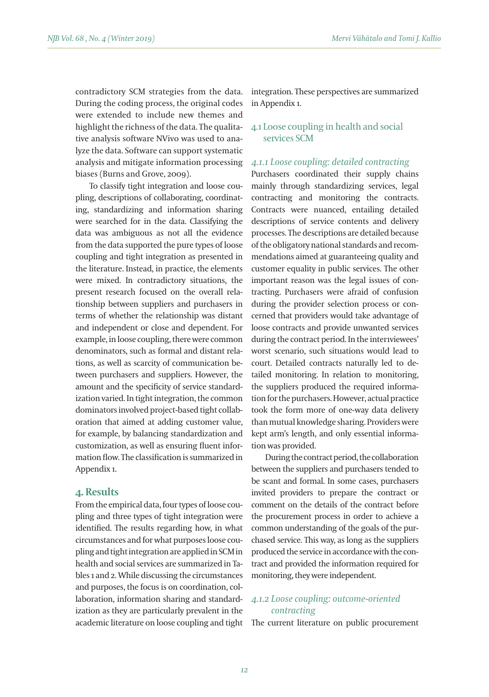contradictory SCM strategies from the data. During the coding process, the original codes were extended to include new themes and highlight the richness of the data. The qualitative analysis software NVivo was used to analyze the data. Software can support systematic analysis and mitigate information processing *4.1.1 Loose coupling: detailed contracting* biases (Burns and Grove, 2009).

To classify tight integration and loose coupling, descriptions of collaborating, coordinating, standardizing and information sharing were searched for in the data. Classifying the data was ambiguous as not all the evidence from the data supported the pure types of loose coupling and tight integration as presented in the literature. Instead, in practice, the elements were mixed. In contradictory situations, the present research focused on the overall relationship between suppliers and purchasers in terms of whether the relationship was distant and independent or close and dependent. For example, in loose coupling, there were common denominators, such as formal and distant relations, as well as scarcity of communication between purchasers and suppliers. However, the amount and the specificity of service standardization varied. In tight integration, the common dominators involved project-based tight collaboration that aimed at adding customer value, for example, by balancing standardization and customization, as well as ensuring fluent information flow. The classification is summarized in Appendix 1.

### **4. Results**

From the empirical data, four types of loose coupling and three types of tight integration were identified. The results regarding how, in what circumstances and for what purposes loose coupling and tight integration are applied in SCM in health and social services are summarized in Tables 1 and 2. While discussing the circumstances and purposes, the focus is on coordination, collaboration, information sharing and standardization as they are particularly prevalent in the

integration. These perspectives are summarized in Appendix 1.

### 4.1 Loose coupling in health and social services SCM

Purchasers coordinated their supply chains mainly through standardizing services, legal contracting and monitoring the contracts. Contracts were nuanced, entailing detailed descriptions of service contents and delivery processes. The descriptions are detailed because of the obligatory national standards and recommendations aimed at guaranteeing quality and customer equality in public services. The other important reason was the legal issues of contracting. Purchasers were afraid of confusion during the provider selection process or concerned that providers would take advantage of loose contracts and provide unwanted services during the contract period. In the internviewees' worst scenario, such situations would lead to court. Detailed contracts naturally led to detailed monitoring. In relation to monitoring, the suppliers produced the required information for the purchasers. However, actual practice took the form more of one-way data delivery than mutual knowledge sharing. Providers were kept arm's length, and only essential information was provided.

During the contract period, the collaboration between the suppliers and purchasers tended to be scant and formal. In some cases, purchasers invited providers to prepare the contract or comment on the details of the contract before the procurement process in order to achieve a common understanding of the goals of the purchased service. This way, as long as the suppliers produced the service in accordance with the contract and provided the information required for monitoring, they were independent.

# *4.1.2 Loose coupling: outcome-oriented contracting*

academic literature on loose coupling and tight The current literature on public procurement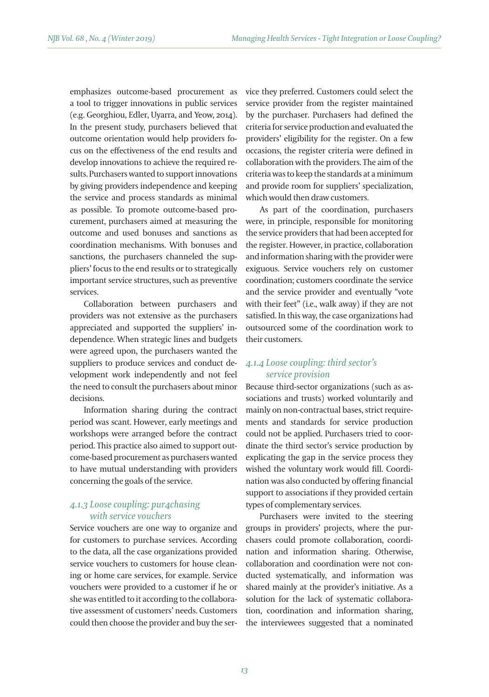emphasizes outcome-based procurement as a tool to trigger innovations in public services (e.g. Georghiou, Edler, Uyarra, and Yeow, 2014). In the present study, purchasers believed that outcome orientation would help providers focus on the effectiveness of the end results and develop innovations to achieve the required results. Purchasers wanted to support innovations by giving providers independence and keeping the service and process standards as minimal as possible. To promote outcome-based procurement, purchasers aimed at measuring the outcome and used bonuses and sanctions as coordination mechanisms. With bonuses and sanctions, the purchasers channeled the suppliers' focus to the end results or to strategically important service structures, such as preventive services.

Collaboration between purchasers and providers was not extensive as the purchasers appreciated and supported the suppliers' independence. When strategic lines and budgets were agreed upon, the purchasers wanted the suppliers to produce services and conduct development work independently and not feel the need to consult the purchasers about minor decisions.

Information sharing during the contract period was scant. However, early meetings and workshops were arranged before the contract period. This practice also aimed to support outcome-based procurement as purchasers wanted to have mutual understanding with providers concerning the goals of the service.

# *4.1.3 Loose coupling: pur4chasing with service vouchers*

Service vouchers are one way to organize and for customers to purchase services. According to the data, all the case organizations provided service vouchers to customers for house cleaning or home care services, for example. Service vouchers were provided to a customer if he or she was entitled to it according to the collaborative assessment of customers' needs. Customers could then choose the provider and buy the service they preferred. Customers could select the service provider from the register maintained by the purchaser. Purchasers had defined the criteria for service production and evaluated the providers' eligibility for the register. On a few occasions, the register criteria were defined in collaboration with the providers. The aim of the criteria was to keep the standards at a minimum and provide room for suppliers' specialization, which would then draw customers.

As part of the coordination, purchasers were, in principle, responsible for monitoring the service providers that had been accepted for the register. However, in practice, collaboration and information sharing with the provider were exiguous. Service vouchers rely on customer coordination; customers coordinate the service and the service provider and eventually "vote with their feet" (i.e., walk away) if they are not satisfied. In this way, the case organizations had outsourced some of the coordination work to their customers.

## *4.1.4 Loose coupling: third sector's service provision*

Because third-sector organizations (such as associations and trusts) worked voluntarily and mainly on non-contractual bases, strict requirements and standards for service production could not be applied. Purchasers tried to coordinate the third sector's service production by explicating the gap in the service process they wished the voluntary work would fill. Coordination was also conducted by offering financial support to associations if they provided certain types of complementary services.

Purchasers were invited to the steering groups in providers' projects, where the purchasers could promote collaboration, coordination and information sharing. Otherwise, collaboration and coordination were not conducted systematically, and information was shared mainly at the provider's initiative. As a solution for the lack of systematic collaboration, coordination and information sharing, the interviewees suggested that a nominated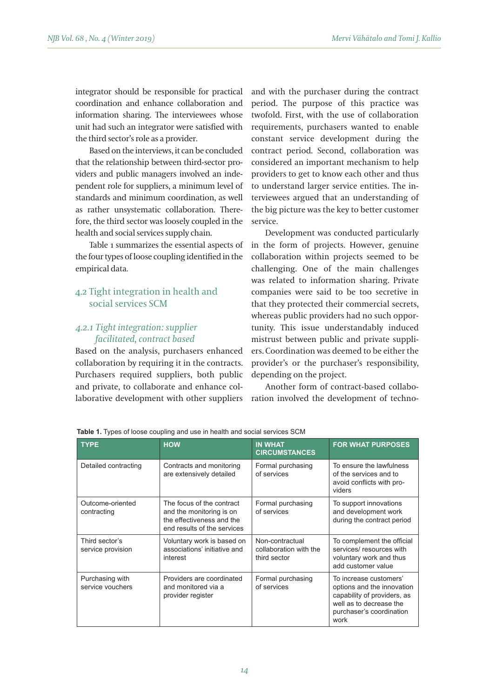integrator should be responsible for practical coordination and enhance collaboration and information sharing. The interviewees whose unit had such an integrator were satisfied with the third sector's role as a provider.

Based on the interviews, it can be concluded that the relationship between third-sector providers and public managers involved an independent role for suppliers, a minimum level of standards and minimum coordination, as well as rather unsystematic collaboration. Therefore, the third sector was loosely coupled in the health and social services supply chain.

Table 1 summarizes the essential aspects of the four types of loose coupling identified in the empirical data.

# 4.2 Tight integration in health and social services SCM

### *4.2.1 Tight integration: supplier facilitated, contract based*

Based on the analysis, purchasers enhanced collaboration by requiring it in the contracts. Purchasers required suppliers, both public and private, to collaborate and enhance collaborative development with other suppliers and with the purchaser during the contract period. The purpose of this practice was twofold. First, with the use of collaboration requirements, purchasers wanted to enable constant service development during the contract period. Second, collaboration was considered an important mechanism to help providers to get to know each other and thus to understand larger service entities. The interviewees argued that an understanding of the big picture was the key to better customer service.

Development was conducted particularly in the form of projects. However, genuine collaboration within projects seemed to be challenging. One of the main challenges was related to information sharing. Private companies were said to be too secretive in that they protected their commercial secrets, whereas public providers had no such opportunity. This issue understandably induced mistrust between public and private suppliers. Coordination was deemed to be either the provider's or the purchaser's responsibility, depending on the project.

Another form of contract-based collaboration involved the development of techno-

| <b>TYPE</b>                         | <b>HOW</b>                                                                                                        | <b>IN WHAT</b><br><b>CIRCUMSTANCES</b>                    | <b>FOR WHAT PURPOSES</b>                                                                                                                           |
|-------------------------------------|-------------------------------------------------------------------------------------------------------------------|-----------------------------------------------------------|----------------------------------------------------------------------------------------------------------------------------------------------------|
| Detailed contracting                | Contracts and monitoring<br>are extensively detailed                                                              | Formal purchasing<br>of services                          | To ensure the lawfulness<br>of the services and to<br>avoid conflicts with pro-<br>viders                                                          |
| Outcome-oriented<br>contracting     | The focus of the contract<br>and the monitoring is on<br>the effectiveness and the<br>end results of the services | Formal purchasing<br>of services                          | To support innovations<br>and development work<br>during the contract period                                                                       |
| Third sector's<br>service provision | Voluntary work is based on<br>associations' initiative and<br>interest                                            | Non-contractual<br>collaboration with the<br>third sector | To complement the official<br>services/ resources with<br>voluntary work and thus<br>add customer value                                            |
| Purchasing with<br>service vouchers | Providers are coordinated<br>and monitored via a<br>provider register                                             | Formal purchasing<br>of services                          | To increase customers'<br>options and the innovation<br>capability of providers, as<br>well as to decrease the<br>purchaser's coordination<br>work |

**Table 1.** Types of loose coupling and use in health and social services SCM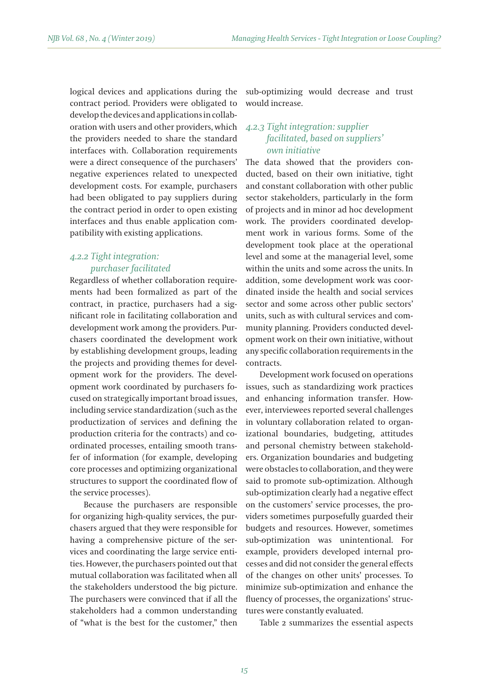logical devices and applications during the contract period. Providers were obligated to develop the devices and applications in collaboration with users and other providers, which the providers needed to share the standard interfaces with. Collaboration requirements were a direct consequence of the purchasers' negative experiences related to unexpected development costs. For example, purchasers had been obligated to pay suppliers during the contract period in order to open existing interfaces and thus enable application compatibility with existing applications.

# *4.2.2 Tight integration: purchaser facilitated*

Regardless of whether collaboration requirements had been formalized as part of the contract, in practice, purchasers had a significant role in facilitating collaboration and development work among the providers. Purchasers coordinated the development work by establishing development groups, leading the projects and providing themes for development work for the providers. The development work coordinated by purchasers focused on strategically important broad issues, including service standardization (such as the productization of services and defining the production criteria for the contracts) and coordinated processes, entailing smooth transfer of information (for example, developing core processes and optimizing organizational structures to support the coordinated flow of the service processes).

Because the purchasers are responsible for organizing high-quality services, the purchasers argued that they were responsible for having a comprehensive picture of the services and coordinating the large service entities. However, the purchasers pointed out that mutual collaboration was facilitated when all the stakeholders understood the big picture. The purchasers were convinced that if all the stakeholders had a common understanding of "what is the best for the customer," then sub-optimizing would decrease and trust would increase.

# *4.2.3 Tight integration: supplier facilitated, based on suppliers' own initiative*

The data showed that the providers conducted, based on their own initiative, tight and constant collaboration with other public sector stakeholders, particularly in the form of projects and in minor ad hoc development work. The providers coordinated development work in various forms. Some of the development took place at the operational level and some at the managerial level, some within the units and some across the units. In addition, some development work was coordinated inside the health and social services sector and some across other public sectors' units, such as with cultural services and community planning. Providers conducted development work on their own initiative, without any specific collaboration requirements in the contracts.

Development work focused on operations issues, such as standardizing work practices and enhancing information transfer. However, interviewees reported several challenges in voluntary collaboration related to organizational boundaries, budgeting, attitudes and personal chemistry between stakeholders. Organization boundaries and budgeting were obstacles to collaboration, and they were said to promote sub-optimization. Although sub-optimization clearly had a negative effect on the customers' service processes, the providers sometimes purposefully guarded their budgets and resources. However, sometimes sub-optimization was unintentional. For example, providers developed internal processes and did not consider the general effects of the changes on other units' processes. To minimize sub-optimization and enhance the fluency of processes, the organizations' structures were constantly evaluated.

Table 2 summarizes the essential aspects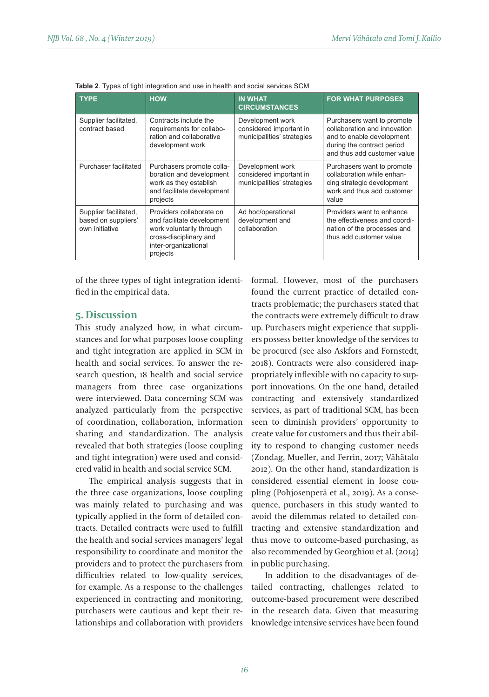| <b>TYPE</b>                                                    | <b>HOW</b>                                                                                                                                       | <b>IN WHAT</b><br><b>CIRCUMSTANCES</b>                                    | <b>FOR WHAT PURPOSES</b>                                                                                                                             |
|----------------------------------------------------------------|--------------------------------------------------------------------------------------------------------------------------------------------------|---------------------------------------------------------------------------|------------------------------------------------------------------------------------------------------------------------------------------------------|
| Supplier facilitated,<br>contract based                        | Contracts include the<br>requirements for collabo-<br>ration and collaborative<br>development work                                               | Development work<br>considered important in<br>municipalities' strategies | Purchasers want to promote<br>collaboration and innovation<br>and to enable development<br>during the contract period<br>and thus add customer value |
| Purchaser facilitated                                          | Purchasers promote colla-<br>boration and development<br>work as they establish<br>and facilitate development<br>projects                        | Development work<br>considered important in<br>municipalities' strategies | Purchasers want to promote<br>collaboration while enhan-<br>cinq strategic development<br>work and thus add customer<br>value                        |
| Supplier facilitated,<br>based on suppliers'<br>own initiative | Providers collaborate on<br>and facilitate development<br>work voluntarily through<br>cross-disciplinary and<br>inter-organizational<br>projects | Ad hoc/operational<br>development and<br>collaboration                    | Providers want to enhance<br>the effectiveness and coordi-<br>nation of the processes and<br>thus add customer value                                 |

of the three types of tight integration identified in the empirical data.

### **5. Discussion**

This study analyzed how, in what circumstances and for what purposes loose coupling and tight integration are applied in SCM in health and social services. To answer the research question, 18 health and social service managers from three case organizations were interviewed. Data concerning SCM was analyzed particularly from the perspective of coordination, collaboration, information sharing and standardization. The analysis revealed that both strategies (loose coupling and tight integration) were used and considered valid in health and social service SCM.

The empirical analysis suggests that in the three case organizations, loose coupling was mainly related to purchasing and was typically applied in the form of detailed contracts. Detailed contracts were used to fulfill the health and social services managers' legal responsibility to coordinate and monitor the providers and to protect the purchasers from difficulties related to low-quality services, for example. As a response to the challenges experienced in contracting and monitoring, purchasers were cautious and kept their relationships and collaboration with providers formal. However, most of the purchasers found the current practice of detailed contracts problematic; the purchasers stated that the contracts were extremely difficult to draw up. Purchasers might experience that suppliers possess better knowledge of the services to be procured (see also Askfors and Fornstedt, 2018). Contracts were also considered inappropriately inflexible with no capacity to support innovations. On the one hand, detailed contracting and extensively standardized services, as part of traditional SCM, has been seen to diminish providers' opportunity to create value for customers and thus their ability to respond to changing customer needs (Zondag, Mueller, and Ferrin, 2017; Vähätalo 2012). On the other hand, standardization is considered essential element in loose coupling (Pohjosenperä et al., 2019). As a consequence, purchasers in this study wanted to avoid the dilemmas related to detailed contracting and extensive standardization and thus move to outcome-based purchasing, as also recommended by Georghiou et al. (2014) in public purchasing.

In addition to the disadvantages of detailed contracting, challenges related to outcome-based procurement were described in the research data. Given that measuring knowledge intensive services have been found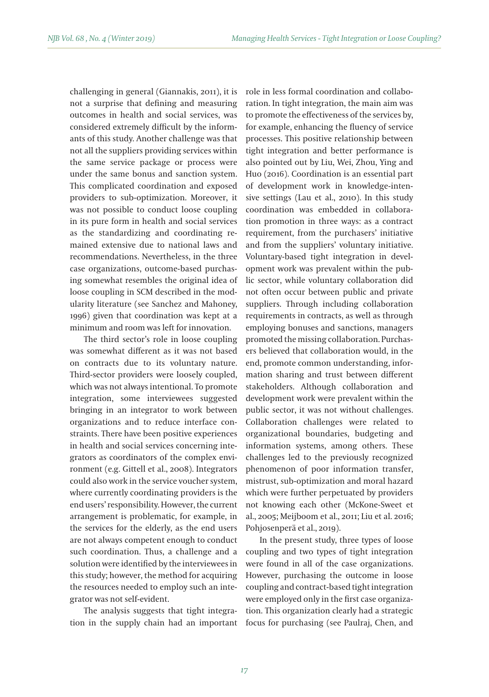challenging in general (Giannakis, 2011), it is not a surprise that defining and measuring outcomes in health and social services, was considered extremely difficult by the informants of this study. Another challenge was that not all the suppliers providing services within the same service package or process were under the same bonus and sanction system. This complicated coordination and exposed providers to sub-optimization. Moreover, it was not possible to conduct loose coupling in its pure form in health and social services as the standardizing and coordinating remained extensive due to national laws and recommendations. Nevertheless, in the three case organizations, outcome-based purchasing somewhat resembles the original idea of loose coupling in SCM described in the modularity literature (see Sanchez and Mahoney, 1996) given that coordination was kept at a minimum and room was left for innovation.

The third sector's role in loose coupling was somewhat different as it was not based on contracts due to its voluntary nature. Third-sector providers were loosely coupled, which was not always intentional. To promote integration, some interviewees suggested bringing in an integrator to work between organizations and to reduce interface constraints. There have been positive experiences in health and social services concerning integrators as coordinators of the complex environment (e.g. Gittell et al., 2008). Integrators could also work in the service voucher system, where currently coordinating providers is the end users' responsibility. However, the current arrangement is problematic, for example, in the services for the elderly, as the end users are not always competent enough to conduct such coordination. Thus, a challenge and a solution were identified by the interviewees in this study; however, the method for acquiring the resources needed to employ such an integrator was not self-evident.

The analysis suggests that tight integration in the supply chain had an important role in less formal coordination and collaboration. In tight integration, the main aim was to promote the effectiveness of the services by, for example, enhancing the fluency of service processes. This positive relationship between tight integration and better performance is also pointed out by Liu, Wei, Zhou, Ying and Huo (2016). Coordination is an essential part of development work in knowledge-intensive settings (Lau et al., 2010). In this study coordination was embedded in collaboration promotion in three ways: as a contract requirement, from the purchasers' initiative and from the suppliers' voluntary initiative. Voluntary-based tight integration in development work was prevalent within the public sector, while voluntary collaboration did not often occur between public and private suppliers. Through including collaboration requirements in contracts, as well as through employing bonuses and sanctions, managers promoted the missing collaboration. Purchasers believed that collaboration would, in the end, promote common understanding, information sharing and trust between different stakeholders. Although collaboration and development work were prevalent within the public sector, it was not without challenges. Collaboration challenges were related to organizational boundaries, budgeting and information systems, among others. These challenges led to the previously recognized phenomenon of poor information transfer, mistrust, sub-optimization and moral hazard which were further perpetuated by providers not knowing each other (McKone-Sweet et al., 2005; Meijboom et al., 2011; Liu et al. 2016; Pohjosenperä et al., 2019).

In the present study, three types of loose coupling and two types of tight integration were found in all of the case organizations. However, purchasing the outcome in loose coupling and contract-based tight integration were employed only in the first case organization. This organization clearly had a strategic focus for purchasing (see Paulraj, Chen, and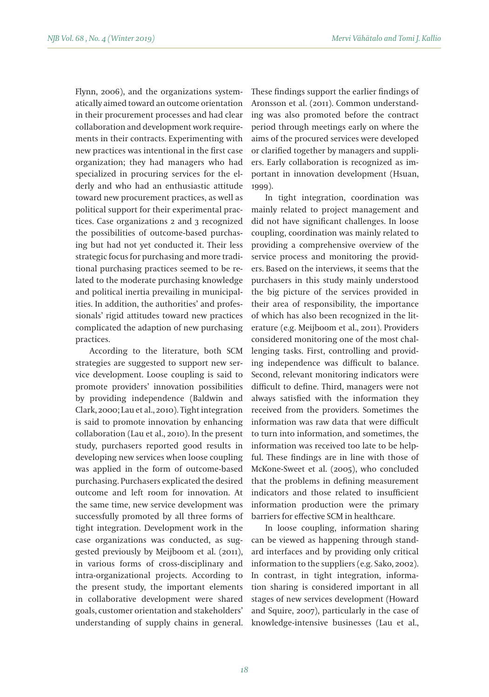Flynn, 2006), and the organizations systematically aimed toward an outcome orientation in their procurement processes and had clear collaboration and development work requirements in their contracts. Experimenting with new practices was intentional in the first case organization; they had managers who had specialized in procuring services for the elderly and who had an enthusiastic attitude toward new procurement practices, as well as political support for their experimental practices. Case organizations 2 and 3 recognized the possibilities of outcome-based purchasing but had not yet conducted it. Their less strategic focus for purchasing and more traditional purchasing practices seemed to be related to the moderate purchasing knowledge and political inertia prevailing in municipalities. In addition, the authorities' and professionals' rigid attitudes toward new practices complicated the adaption of new purchasing practices.

According to the literature, both SCM strategies are suggested to support new service development. Loose coupling is said to promote providers' innovation possibilities by providing independence (Baldwin and Clark, 2000; Lau et al., 2010). Tight integration is said to promote innovation by enhancing collaboration (Lau et al., 2010). In the present study, purchasers reported good results in developing new services when loose coupling was applied in the form of outcome-based purchasing. Purchasers explicated the desired outcome and left room for innovation. At the same time, new service development was successfully promoted by all three forms of tight integration. Development work in the case organizations was conducted, as suggested previously by Meijboom et al. (2011), in various forms of cross-disciplinary and intra-organizational projects. According to the present study, the important elements in collaborative development were shared goals, customer orientation and stakeholders' understanding of supply chains in general. These findings support the earlier findings of Aronsson et al. (2011). Common understanding was also promoted before the contract period through meetings early on where the aims of the procured services were developed or clarified together by managers and suppliers. Early collaboration is recognized as important in innovation development (Hsuan, 1999).

In tight integration, coordination was mainly related to project management and did not have significant challenges. In loose coupling, coordination was mainly related to providing a comprehensive overview of the service process and monitoring the providers. Based on the interviews, it seems that the purchasers in this study mainly understood the big picture of the services provided in their area of responsibility, the importance of which has also been recognized in the literature (e.g. Meijboom et al., 2011). Providers considered monitoring one of the most challenging tasks. First, controlling and providing independence was difficult to balance. Second, relevant monitoring indicators were difficult to define. Third, managers were not always satisfied with the information they received from the providers. Sometimes the information was raw data that were difficult to turn into information, and sometimes, the information was received too late to be helpful. These findings are in line with those of McKone-Sweet et al. (2005), who concluded that the problems in defining measurement indicators and those related to insufficient information production were the primary barriers for effective SCM in healthcare.

In loose coupling, information sharing can be viewed as happening through standard interfaces and by providing only critical information to the suppliers (e.g. Sako, 2002). In contrast, in tight integration, information sharing is considered important in all stages of new services development (Howard and Squire, 2007), particularly in the case of knowledge-intensive businesses (Lau et al.,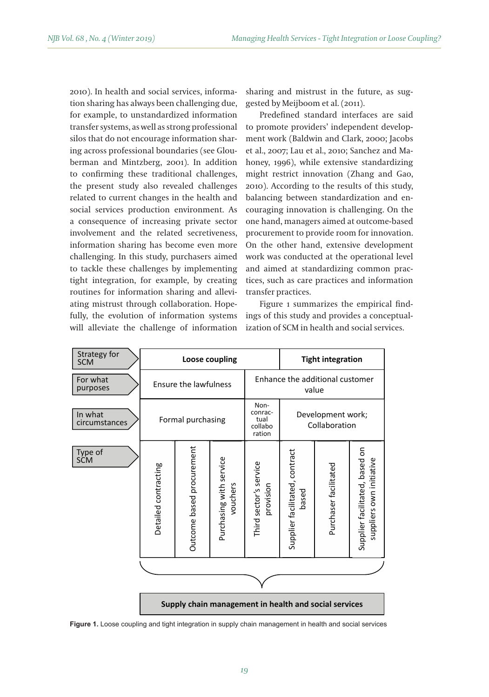2010). In health and social services, information sharing has always been challenging due, for example, to unstandardized information transfer systems, as well as strong professional silos that do not encourage information sharing across professional boundaries (see Glouberman and Mintzberg, 2001). In addition to confirming these traditional challenges, the present study also revealed challenges related to current changes in the health and social services production environment. As a consequence of increasing private sector involvement and the related secretiveness, information sharing has become even more challenging. In this study, purchasers aimed to tackle these challenges by implementing tight integration, for example, by creating routines for information sharing and alleviating mistrust through collaboration. Hopefully, the evolution of information systems will alleviate the challenge of information sharing and mistrust in the future, as suggested by Meijboom et al. (2011).

Predefined standard interfaces are said to promote providers' independent development work (Baldwin and Clark, 2000; Jacobs et al., 2007; Lau et al., 2010; Sanchez and Mahoney, 1996), while extensive standardizing might restrict innovation (Zhang and Gao, 2010). According to the results of this study, balancing between standardization and encouraging innovation is challenging. On the one hand, managers aimed at outcome-based procurement to provide room for innovation. On the other hand, extensive development work was conducted at the operational level and aimed at standardizing common practices, such as care practices and information transfer practices.

Figure 1 summarizes the empirical findings of this study and provides a conceptualization of SCM in health and social services.

| Strategy for<br><b>SCM</b> | Loose coupling                                        |                           |                                     | <b>Tight integration</b>                     |                                          |                       |                                                            |
|----------------------------|-------------------------------------------------------|---------------------------|-------------------------------------|----------------------------------------------|------------------------------------------|-----------------------|------------------------------------------------------------|
| For what<br>purposes       | Ensure the lawfulness                                 |                           |                                     |                                              | Enhance the additional customer<br>value |                       |                                                            |
| In what<br>circumstances   | Formal purchasing                                     |                           |                                     | Non-<br>conrac-<br>tual<br>collabo<br>ration | Development work;<br>Collaboration       |                       |                                                            |
| Type of<br>SCM             | Detailed contracting                                  | Outcome based procurement | Purchasing with service<br>vouchers | Third sector's service<br>provision          | Supplier facilitated, contract<br>based  | Purchaser facilitated | Supplier facilitated, based on<br>suppliers own initiative |
|                            |                                                       |                           |                                     |                                              |                                          |                       |                                                            |
|                            |                                                       |                           |                                     |                                              |                                          |                       |                                                            |
|                            | Supply chain management in health and social services |                           |                                     |                                              |                                          |                       |                                                            |

**Figure 1.** Loose coupling and tight integration in supply chain management in health and social services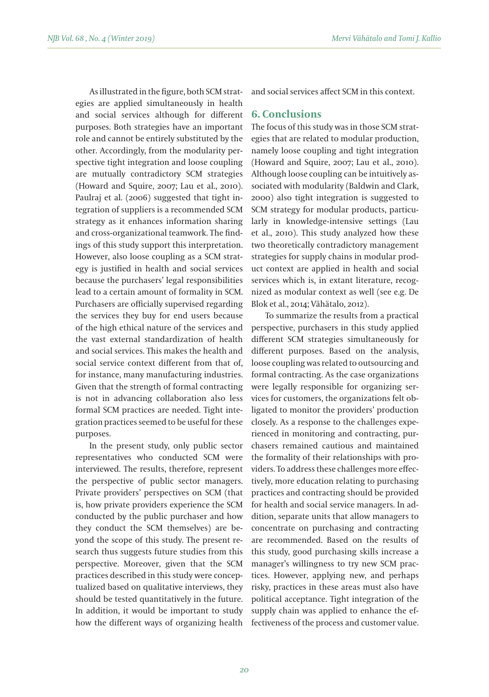As illustrated in the figure, both SCM strategies are applied simultaneously in health and social services although for different purposes. Both strategies have an important role and cannot be entirely substituted by the other. Accordingly, from the modularity perspective tight integration and loose coupling are mutually contradictory SCM strategies (Howard and Squire, 2007; Lau et al., 2010). Paulraj et al. (2006) suggested that tight integration of suppliers is a recommended SCM strategy as it enhances information sharing and cross-organizational teamwork. The findings of this study support this interpretation. However, also loose coupling as a SCM strategy is justified in health and social services because the purchasers' legal responsibilities lead to a certain amount of formality in SCM. Purchasers are officially supervised regarding the services they buy for end users because of the high ethical nature of the services and the vast external standardization of health and social services. This makes the health and social service context different from that of, for instance, many manufacturing industries. Given that the strength of formal contracting is not in advancing collaboration also less formal SCM practices are needed. Tight integration practices seemed to be useful for these purposes.

In the present study, only public sector representatives who conducted SCM were interviewed. The results, therefore, represent the perspective of public sector managers. Private providers' perspectives on SCM (that is, how private providers experience the SCM conducted by the public purchaser and how they conduct the SCM themselves) are beyond the scope of this study. The present research thus suggests future studies from this perspective. Moreover, given that the SCM practices described in this study were conceptualized based on qualitative interviews, they should be tested quantitatively in the future. In addition, it would be important to study how the different ways of organizing health and social services affect SCM in this context.

### **6. Conclusions**

The focus of this study was in those SCM strategies that are related to modular production, namely loose coupling and tight integration (Howard and Squire, 2007; Lau et al., 2010). Although loose coupling can be intuitively associated with modularity (Baldwin and Clark, 2000) also tight integration is suggested to SCM strategy for modular products, particularly in knowledge-intensive settings (Lau et al., 2010). This study analyzed how these two theoretically contradictory management strategies for supply chains in modular product context are applied in health and social services which is, in extant literature, recognized as modular context as well (see e.g. De Blok et al., 2014; Vähätalo, 2012).

To summarize the results from a practical perspective, purchasers in this study applied different SCM strategies simultaneously for different purposes. Based on the analysis, loose coupling was related to outsourcing and formal contracting. As the case organizations were legally responsible for organizing services for customers, the organizations felt obligated to monitor the providers' production closely. As a response to the challenges experienced in monitoring and contracting, purchasers remained cautious and maintained the formality of their relationships with providers. To address these challenges more effectively, more education relating to purchasing practices and contracting should be provided for health and social service managers. In addition, separate units that allow managers to concentrate on purchasing and contracting are recommended. Based on the results of this study, good purchasing skills increase a manager's willingness to try new SCM practices. However, applying new, and perhaps risky, practices in these areas must also have political acceptance. Tight integration of the supply chain was applied to enhance the effectiveness of the process and customer value.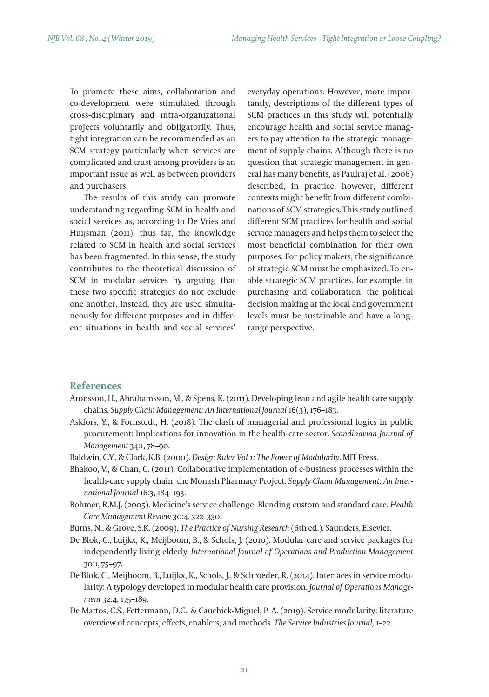To promote these aims, collaboration and co-development were stimulated through cross-disciplinary and intra-organizational projects voluntarily and obligatorily. Thus, tight integration can be recommended as an SCM strategy particularly when services are complicated and trust among providers is an important issue as well as between providers and purchasers.

The results of this study can promote understanding regarding SCM in health and social services as, according to De Vries and Huijsman (2011), thus far, the knowledge related to SCM in health and social services has been fragmented. In this sense, the study contributes to the theoretical discussion of SCM in modular services by arguing that these two specific strategies do not exclude one another. Instead, they are used simultaneously for different purposes and in different situations in health and social services'

everyday operations. However, more importantly, descriptions of the different types of SCM practices in this study will potentially encourage health and social service managers to pay attention to the strategic management of supply chains. Although there is no question that strategic management in general has many benefits, as Paulraj et al. (2006) described, in practice, however, different contexts might benefit from different combinations of SCM strategies. This study outlined different SCM practices for health and social service managers and helps them to select the most beneficial combination for their own purposes. For policy makers, the significance of strategic SCM must be emphasized. To enable strategic SCM practices, for example, in purchasing and collaboration, the political decision making at the local and government levels must be sustainable and have a longrange perspective.

### **References**

- Aronsson, H., Abrahamsson, M., & Spens, K. (2011). Developing lean and agile health care supply chains. *Supply Chain Management: An International Journal* 16(3), 176–183.
- Askfors, Y., & Fornstedt, H. (2018). The clash of managerial and professional logics in public procurement: Implications for innovation in the health-care sector. *Scandinavian Journal of Management* 34:1, 78–90.
- Baldwin, C.Y., & Clark, K.B. (2000). *Design Rules Vol 1: The Power of Modularity*. MIT Press.
- Bhakoo, V., & Chan, C. (2011). Collaborative implementation of e-business processes within the health-care supply chain: the Monash Pharmacy Project. *Supply Chain Management: An International Journal* 16:3, 184–193.
- Bohmer, R.M.J. (2005). Medicine's service challenge: Blending custom and standard care. *Health Care Management Review* 30:4, 322–330.
- Burns, N., & Grove, S.K. (2009). *The Practice of Nursing Research* (6th ed.). Saunders, Elsevier.
- De Blok, C., Luijkx, K., Meijboom, B., & Schols, J. (2010). Modular care and service packages for independently living elderly. *International Journal of Operations and Production Management* 30:1, 75–97.
- De Blok, C., Meijboom, B., Luijkx, K., Schols, J., & Schroeder, R. (2014). Interfaces in service modularity: A typology developed in modular health care provision. *Journal of Operations Management* 32:4, 175–189.
- De Mattos, C.S., Fettermann, D.C., & Cauchick-Miguel, P. A. (2019). Service modularity: literature overview of concepts, effects, enablers, and methods. *The Service Industries Journal,* 1–22.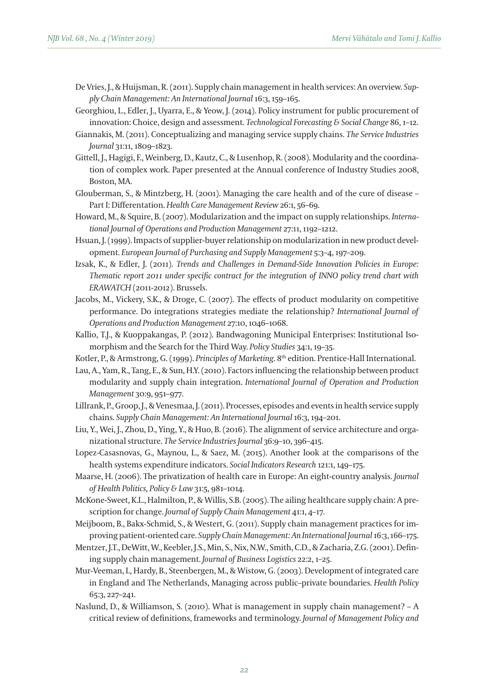- De Vries, J., & Huijsman, R. (2011). Supply chain management in health services: An overview. *Supply Chain Management: An International Journal* 16:3, 159–165.
- Georghiou, L., Edler, J., Uyarra, E., & Yeow, J. (2014). Policy instrument for public procurement of innovation: Choice, design and assessment. *Technological Forecasting & Social Change* 86, 1–12.
- Giannakis, M. (2011). Conceptualizing and managing service supply chains. *The Service Industries Journal* 31:11, 1809–1823.
- Gittell, J., Hagigi, F., Weinberg, D., Kautz, C., & Lusenhop, R. (2008). Modularity and the coordination of complex work. Paper presented at the Annual conference of Industry Studies 2008, Boston, MA.
- Glouberman, S., & Mintzberg, H. (2001). Managing the care health and of the cure of disease Part I: Differentation. *Health Care Management Review* 26:1, 56–69.
- Howard, M., & Squire, B. (2007). Modularization and the impact on supply relationships. *International Journal of Operations and Production Management* 27:11, 1192–1212.
- Hsuan, J. (1999). Impacts of supplier-buyer relationship on modularization in new product development. *European Journal of Purchasing and Supply Management* 5:3–4, 197–209.
- Izsak, K., & Edler, J. (2011). *Trends and Challenges in Demand-Side Innovation Policies in Europe: Thematic report 2011 under specific contract for the integration of INNO policy trend chart with ERAWATCH* (2011-2012). Brussels.
- Jacobs, M., Vickery, S.K., & Droge, C. (2007). The effects of product modularity on competitive performance. Do integrations strategies mediate the relationship? *International Journal of Operations and Production Management* 27:10, 1046–1068.
- Kallio, T.J., & Kuoppakangas, P. (2012). Bandwagoning Municipal Enterprises: Institutional Isomorphism and the Search for the Third Way. *Policy Studies* 34:1, 19–35.
- Kotler, P., & Armstrong, G. (1999). *Principles of Marketing*. 8th edition. Prentice-Hall International.
- Lau, A., Yam, R., Tang, E., & Sun, H.Y. (2010). Factors influencing the relationship between product modularity and supply chain integration. *International Journal of Operation and Production Management* 30:9, 951–977.
- Lillrank, P., Groop, J., & Venesmaa, J. (2011). Processes, episodes and events in health service supply chains. *Supply Chain Management: An International Journal* 16:3, 194–201.
- Liu, Y., Wei, J., Zhou, D., Ying, Y., & Huo, B. (2016). The alignment of service architecture and organizational structure. *The Service Industries Journal* 36:9–10, 396–415.
- Lopez-Casasnovas, G., Maynou, L., & Saez, M. (2015). Another look at the comparisons of the health systems expenditure indicators. *Social Indicators Research* 121:1, 149–175.
- Maarse, H. (2006). The privatization of health care in Europe: An eight-country analysis. *Journal of Health Politics, Policy & Law* 31:5, 981–1014.
- McKone-Sweet, K.L., Halmilton, P., & Willis, S.B. (2005). The ailing healthcare supply chain: A prescription for change. *Journal of Supply Chain Management* 41:1, 4–17.
- Meijboom, B., Bakx-Schmid, S., & Westert, G. (2011). Supply chain management practices for improving patient-oriented care. *Supply Chain Management: An International Journal* 16:3, 166–175.
- Mentzer, J.T., DeWitt, W., Keebler, J.S., Min, S., Nix, N.W., Smith, C.D., & Zacharia, Z.G. (2001). Defining supply chain management. *Journal of Business Logistics* 22:2, 1–25.
- Mur-Veeman, I., Hardy, B., Steenbergen, M., & Wistow, G. (2003). Development of integrated care in England and The Netherlands, Managing across public–private boundaries. *Health Policy* 65:3, 227–241.
- Naslund, D., & Williamson, S. (2010). What is management in supply chain management? A critical review of definitions, frameworks and terminology. *Journal of Management Policy and*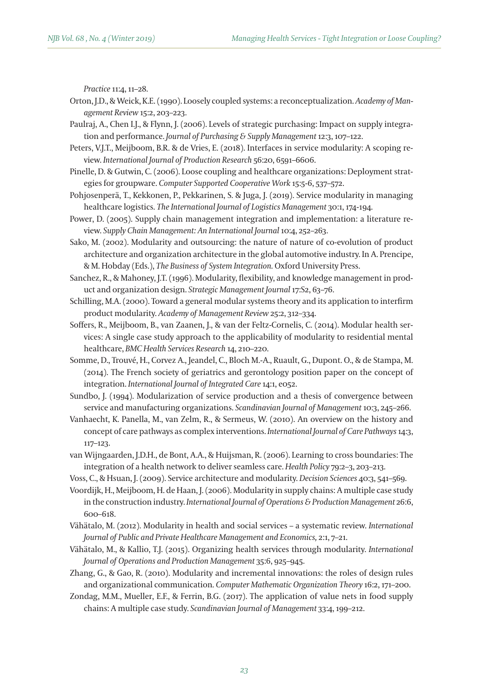*Practice* 11:4, 11–28.

- Orton, J.D., & Weick, K.E. (1990). Loosely coupled systems: a reconceptualization. *Academy of Management Review* 15:2, 203–223.
- Paulraj, A., Chen I.J., & Flynn, J. (2006). Levels of strategic purchasing: Impact on supply integration and performance. *Journal of Purchasing & Supply Management* 12:3, 107–122.
- Peters, V.J.T., Meijboom, B.R. & de Vries, E. (2018). Interfaces in service modularity: A scoping review. *International Journal of Production Research* 56:20, 6591–6606.
- Pinelle, D. & Gutwin, C. (2006). Loose coupling and healthcare organizations: Deployment strategies for groupware. *Computer Supported Cooperative Work* 15:5-6, 537–572.
- Pohjosenperä, T., Kekkonen, P., Pekkarinen, S. & Juga, J. (2019). Service modularity in managing healthcare logistics. *The International Journal of Logistics Management* 30:1,174-194.
- Power, D. (2005). Supply chain management integration and implementation: a literature review. *Supply Chain Management: An International Journal* 10:4, 252–263.
- Sako, M. (2002). Modularity and outsourcing: the nature of nature of co-evolution of product architecture and organization architecture in the global automotive industry. In A. Prencipe, & M. Hobday (Eds.), *The Business of System Integration.* Oxford University Press.

Sanchez, R., & Mahoney, J.T. (1996). Modularity, flexibility, and knowledge management in product and organization design. *Strategic Management Journal* 17:S2, 63–76.

Schilling, M.A. (2000). Toward a general modular systems theory and its application to interfirm product modularity. *Academy of Management Review* 25:2, 312–334.

- Soffers, R., Meijboom, B., van Zaanen, J., & van der Feltz-Cornelis, C. (2014). Modular health services: A single case study approach to the applicability of modularity to residential mental healthcare, *BMC Health Services Research* 14, 210–220.
- Somme, D., Trouvé, H., Corvez A., Jeandel, C., Bloch M.-A., Ruault, G., Dupont. O., & de Stampa, M. (2014). The French society of geriatrics and gerontology position paper on the concept of integration. *International Journal of Integrated Care* 14:1, e052.
- Sundbo, J. (1994). Modularization of service production and a thesis of convergence between service and manufacturing organizations. *Scandinavian Journal of Management* 10:3, 245–266.
- Vanhaecht, K. Panella, M., van Zelm, R., & Sermeus, W. (2010). An overview on the history and concept of care pathways as complex interventions. *International Journal of Care Pathways* 14:3, 117–123.
- van Wijngaarden, J.D.H., de Bont, A.A., & Huijsman, R. (2006). Learning to cross boundaries: The integration of a health network to deliver seamless care. *Health Policy* 79:2–3, 203–213.
- Voss, C., & Hsuan, J. (2009). Service architecture and modularity. *Decision Sciences* 40:3, 541–569.

Voordijk, H., Meijboom, H. de Haan, J. (2006). Modularity in supply chains: A multiple case study in the construction industry. *International Journal of Operations & Production Management* 26:6, 600–618.

- Vähätalo, M. (2012). Modularity in health and social services a systematic review. *International Journal of Public and Private Healthcare Management and Economics,* 2:1, 7–21.
- Vähätalo, M., & Kallio, T.J. (2015). Organizing health services through modularity. *International Journal of Operations and Production Management* 35:6, 925–945.
- Zhang, G., & Gao, R. (2010). Modularity and incremental innovations: the roles of design rules and organizational communication. *Computer Mathematic Organization Theory* 16:2, 171–200.
- Zondag, M.M., Mueller, E.F., & Ferrin, B.G. (2017). The application of value nets in food supply chains: A multiple case study. *Scandinavian Journal of Management* 33:4, 199–212.